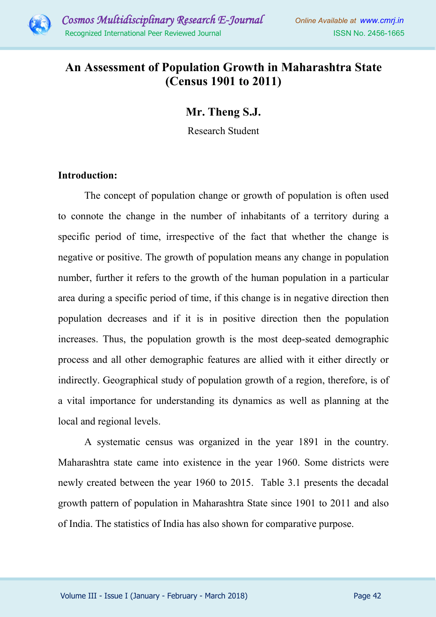

## **An Assessment of Population Growth in Maharashtra State (Census 1901 to 2011)**

**Mr. Theng S.J.**

Research Student

## **Introduction:**

The concept of population change or growth of population is often used to connote the change in the number of inhabitants of a territory during a specific period of time, irrespective of the fact that whether the change is negative or positive. The growth of population means any change in population number, further it refers to the growth of the human population in a particular area during a specific period of time, if this change is in negative direction then population decreases and if it is in positive direction then the population increases. Thus, the population growth is the most deep-seated demographic process and all other demographic features are allied with it either directly or indirectly. Geographical study of population growth of a region, therefore, is of a vital importance for understanding its dynamics as well as planning at the local and regional levels.

A systematic census was organized in the year 1891 in the country. Maharashtra state came into existence in the year 1960. Some districts were newly created between the year 1960 to 2015. Table 3.1 presents the decadal growth pattern of population in Maharashtra State since 1901 to 2011 and also of India. The statistics of India has also shown for comparative purpose.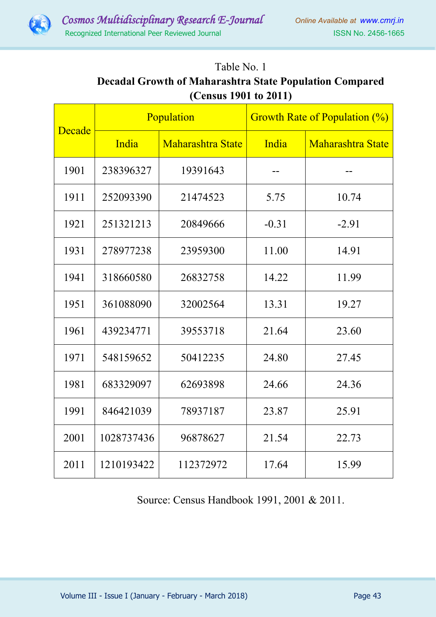

## Table No. 1 **Decadal Growth of Maharashtra State Population Compared (Census 1901 to 2011)**

| Decade | Population |                          | <b>Growth Rate of Population (%)</b> |                          |
|--------|------------|--------------------------|--------------------------------------|--------------------------|
|        | India      | <b>Maharashtra State</b> | India                                | <b>Maharashtra State</b> |
| 1901   | 238396327  | 19391643                 |                                      |                          |
| 1911   | 252093390  | 21474523                 | 5.75                                 | 10.74                    |
| 1921   | 251321213  | 20849666                 | $-0.31$                              | $-2.91$                  |
| 1931   | 278977238  | 23959300                 | 11.00                                | 14.91                    |
| 1941   | 318660580  | 26832758                 | 14.22                                | 11.99                    |
| 1951   | 361088090  | 32002564                 | 13.31                                | 19.27                    |
| 1961   | 439234771  | 39553718                 | 21.64                                | 23.60                    |
| 1971   | 548159652  | 50412235                 | 24.80                                | 27.45                    |
| 1981   | 683329097  | 62693898                 | 24.66                                | 24.36                    |
| 1991   | 846421039  | 78937187                 | 23.87                                | 25.91                    |
| 2001   | 1028737436 | 96878627                 | 21.54                                | 22.73                    |
| 2011   | 1210193422 | 112372972                | 17.64                                | 15.99                    |

Source: Census Handbook 1991, 2001 & 2011.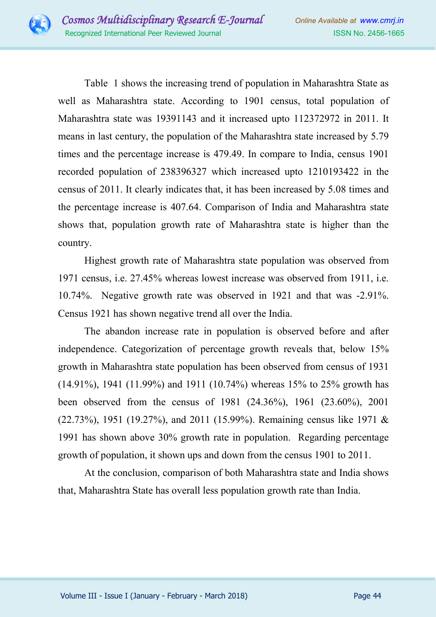

Table 1 shows the increasing trend of population in Maharashtra State as well as Maharashtra state. According to 1901 census, total population of Maharashtra state was 19391143 and it increased upto 112372972 in 2011. It means in last century, the population of the Maharashtra state increased by 5.79 times and the percentage increase is 479.49. In compare to India, census 1901 recorded population of 238396327 which increased upto 1210193422 in the census of 2011. It clearly indicates that, it has been increased by 5.08 times and the percentage increase is 407.64. Comparison of India and Maharashtra state shows that, population growth rate of Maharashtra state is higher than the country.

Highest growth rate of Maharashtra state population was observed from 1971 census, i.e. 27.45% whereas lowest increase was observed from 1911, i.e. 10.74%. Negative growth rate was observed in 1921 and that was -2.91%. Census 1921 has shown negative trend all over the India.

The abandon increase rate in population is observed before and after independence. Categorization of percentage growth reveals that, below 15% growth in Maharashtra state population has been observed from census of 1931 (14.91%), 1941 (11.99%) and 1911 (10.74%) whereas 15% to 25% growth has been observed from the census of 1981 (24.36%), 1961 (23.60%), 2001 (22.73%), 1951 (19.27%), and 2011 (15.99%). Remaining census like 1971 & 1991 has shown above 30% growth rate in population. Regarding percentage growth of population, it shown ups and down from the census 1901 to 2011.

At the conclusion, comparison of both Maharashtra state and India shows that, Maharashtra State has overall less population growth rate than India.